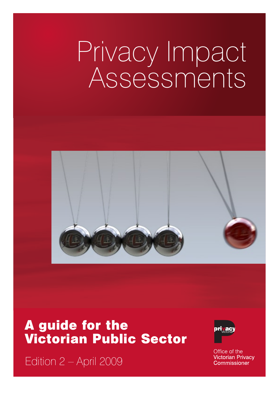# Privacy Impact Assessments



### A guide for the Victorian Public Sector

Edition 2 – April 2009



Office of the **Victorian Privacy** Commissioner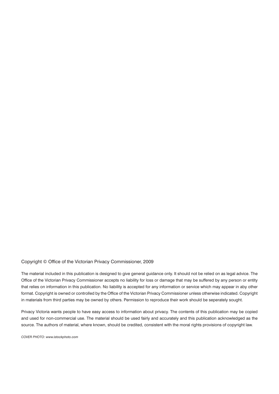#### Copyright © Office of the Victorian Privacy Commissioner, 2009

The material included in this publication is designed to give general guidance only. It should not be relied on as legal advice. The Office of the Victorian Privacy Commissioner accepts no liability for loss or damage that may be suffered by any person or entity that relies on information in this publication. No liability is accepted for any information or service which may appear in aby other format. Copyright is owned or controlled by the Office of the Victorian Privacy Commissioner unless otherwise indicated. Copyright in materials from third parties may be owned by others. Permission to reproduce their work should be seperately sought.

Privacy Victoria wants people to have easy access to information about privacy. The contents of this publication may be copied and used for non-commercial use. The material should be used fairly and accurately and this publication acknowledged as the source. The authors of material, where known, should be credited, consistent with the moral rights provisions of copyright law.

*COVER PHOTO: www.istockphoto.com*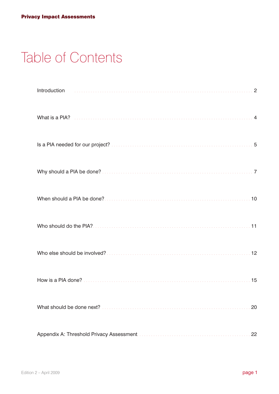# Table of Contents

| Introduction                                                                                                                                                                                                                   | 2  |
|--------------------------------------------------------------------------------------------------------------------------------------------------------------------------------------------------------------------------------|----|
| What is a PIA? A continuous continuous continuous continuous continuous continuous continuous continuous continuous continuous continuous continuous continuous continuous continuous continuous continuous continuous continu |    |
|                                                                                                                                                                                                                                |    |
|                                                                                                                                                                                                                                |    |
|                                                                                                                                                                                                                                |    |
|                                                                                                                                                                                                                                |    |
|                                                                                                                                                                                                                                | 12 |
|                                                                                                                                                                                                                                |    |
| What should be done next?                                                                                                                                                                                                      | 20 |
|                                                                                                                                                                                                                                | 22 |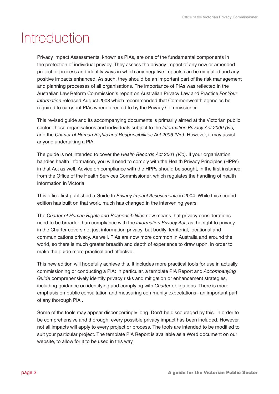### Introduction

Privacy Impact Assessments, known as PIAs, are one of the fundamental components in the protection of individual privacy. They assess the privacy impact of any new or amended project or process and identify ways in which any negative impacts can be mitigated and any positive impacts enhanced. As such, they should be an important part of the risk management and planning processes of all organisations. The importance of PIAs was reflected in the Australian Law Reform Commission's report on Australian Privacy Law and Practice *For Your Information* released August 2008 which recommended that Commonwealth agencies be required to carry out PIAs where directed to by the Privacy Commissioner.

This revised guide and its accompanying documents is primarily aimed at the Victorian public sector: those organisations and individuals subject to the *Information Privacy Act 2000 (Vic)* and the *Charter of Human Rights and Responsibilities Act 2006 (Vic)*. However, it may assist anyone undertaking a PIA.

The guide is not intended to cover the *Health Records Act 2001 (Vic)*. If your organisation handles health information, you will need to comply with the Health Privacy Principles (HPPs) in that Act as well. Advice on compliance with the HPPs should be sought, in the first instance, from the Office of the Health Services Commissioner, which regulates the handling of health information in Victoria.

This office first published a Guide to *Privacy Impact Assessments* in 2004. While this second edition has built on that work, much has changed in the intervening years.

The *Charter of Human Rights and Responsibilities* now means that privacy considerations need to be broader than compliance with the *Information Privacy Act*, as the right to privacy in the Charter covers not just information privacy, but bodily, territorial, locational and communications privacy. As well, PIAs are now more common in Australia and around the world, so there is much greater breadth and depth of experience to draw upon, in order to make the guide more practical and effective.

This new edition will hopefully achieve this. It includes more practical tools for use in actually commissioning or conducting a PIA: in particular, a template PIA Report and *Accompanying Guide* comprehensively identify privacy risks and mitigation or enhancement strategies, including guidance on identifying and complying with *Charter* obligations. There is more emphasis on public consultation and measuring community expectations– an important part of any thorough PIA .

Some of the tools may appear disconcertingly long. Don't be discouraged by this. In order to be comprehensive and thorough, every possible privacy impact has been included. However, not all impacts will apply to every project or process. The tools are intended to be modified to suit your particular project. The template PIA Report is available as a Word document on our website, to allow for it to be used in this way.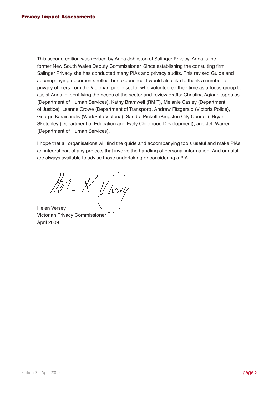This second edition was revised by Anna Johnston of Salinger Privacy. Anna is the former New South Wales Deputy Commissioner. Since establishing the consulting firm Salinger Privacy she has conducted many PIAs and privacy audits. This revised Guide and accompanying documents reflect her experience. I would also like to thank a number of privacy officers from the Victorian public sector who volunteered their time as a focus group to assist Anna in identifying the needs of the sector and review drafts: Christina Agiannitopoulos (Department of Human Services), Kathy Bramwell (RMIT), Melanie Casley (Department of Justice), Leanne Crowe (Department of Transport), Andrew Fitzgerald (Victoria Police), George Karaisaridis (WorkSafe Victoria), Sandra Pickett (Kingston City Council), Bryan Sketchley (Department of Education and Early Childhood Development), and Jeff Warren (Department of Human Services).

I hope that all organisations will find the guide and accompanying tools useful and make PIAs an integral part of any projects that involve the handling of personal information. And our staff are always available to advise those undertaking or considering a PIA.

ML K. V wany

Helen Versey Victorian Privacy Commissioner April 2009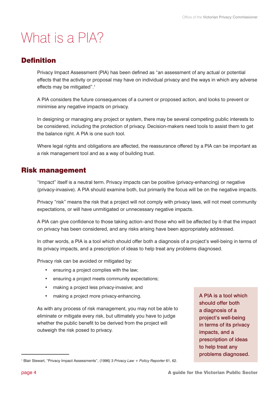# What is a PIA?

#### **Definition**

Privacy Impact Assessment (PIA) has been defined as "an assessment of any actual or potential effects that the activity or proposal may have on individual privacy and the ways in which any adverse effects may be mitigated".1

A PIA considers the future consequences of a current or proposed action, and looks to prevent or minimise any negative impacts on privacy.

In designing or managing any project or system, there may be several competing public interests to be considered, including the protection of privacy. Decision-makers need tools to assist them to get the balance right. A PIA is one such tool.

Where legal rights and obligations are affected, the reassurance offered by a PIA can be important as a risk management tool and as a way of building trust.

#### Risk management

"Impact" itself is a neutral term. Privacy impacts can be positive (privacy-enhancing) or negative (privacy-invasive). A PIA should examine both, but primarily the focus will be on the negative impacts.

Privacy "risk" means the risk that a project will not comply with privacy laws, will not meet community expectations, or will have unmitigated or unnecessary negative impacts.

A PIA can give confidence to those taking action–and those who will be affected by it–that the impact on privacy has been considered, and any risks arising have been appropriately addressed.

In other words, a PIA is a tool which should offer both a diagnosis of a project's well-being in terms of its privacy impacts, and a prescription of ideas to help treat any problems diagnosed.

Privacy risk can be avoided or mitigated by:

- • ensuring a project complies with the law;
- • ensuring a project meets community expectations;
- • making a project less privacy-invasive; and
- making a project more privacy-enhancing.

As with any process of risk management, you may not be able to eliminate or mitigate every risk, but ultimately you have to judge whether the public benefit to be derived from the project will outweigh the risk posed to privacy.

A PIA is a tool which should offer both a diagnosis of a project's well-being in terms of its privacy impacts, and a prescription of ideas to help treat any problems diagnosed.

<sup>1</sup> Blair Stewart, "Privacy Impact Assessments", (1996) 3 *Privacy Law + Policy Reporter* 61, 62.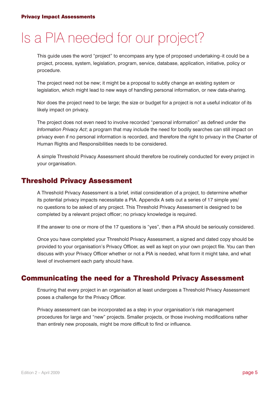### Is a PIA needed for our project?

This guide uses the word "project" to encompass any type of proposed undertaking–it could be a project, process, system, legislation, program, service, database, application, initiative, policy or procedure.

The project need not be new; it might be a proposal to subtly change an existing system or legislation, which might lead to new ways of handling personal information, or new data-sharing.

Nor does the project need to be large; the size or budget for a project is not a useful indicator of its likely impact on privacy.

The project does not even need to involve recorded "personal information" as defined under the *Information Privacy Act*; a program that may include the need for bodily searches can still impact on privacy even if no personal information is recorded, and therefore the right to privacy in the Charter of Human Rights and Responsibilities needs to be considered.

A simple Threshold Privacy Assessment should therefore be routinely conducted for every project in your organisation.

#### Threshold Privacy Assessment

A Threshold Privacy Assessment is a brief, initial consideration of a project, to determine whether its potential privacy impacts necessitate a PIA. Appendix A sets out a series of 17 simple yes/ no questions to be asked of any project. This Threshold Privacy Assessment is designed to be completed by a relevant project officer; no privacy knowledge is required.

If the answer to one or more of the 17 questions is "yes", then a PIA should be seriously considered.

Once you have completed your Threshold Privacy Assessment, a signed and dated copy should be provided to your organisation's Privacy Officer, as well as kept on your own project file. You can then discuss with your Privacy Officer whether or not a PIA is needed, what form it might take, and what level of involvement each party should have.

#### Communicating the need for a Threshold Privacy Assessment

Ensuring that every project in an organisation at least undergoes a Threshold Privacy Assessment poses a challenge for the Privacy Officer.

Privacy assessment can be incorporated as a step in your organisation's risk management procedures for large and "new" projects. Smaller projects, or those involving modifications rather than entirely new proposals, might be more difficult to find or influence.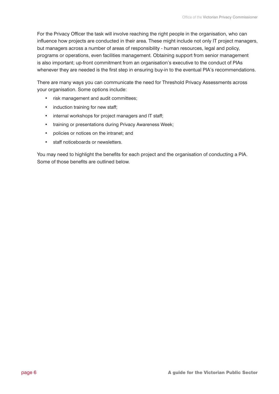For the Privacy Officer the task will involve reaching the right people in the organisation, who can influence how projects are conducted in their area. These might include not only IT project managers, but managers across a number of areas of responsibility - human resources, legal and policy, programs or operations, even facilities management. Obtaining support from senior management is also important; up-front commitment from an organisation's executive to the conduct of PIAs whenever they are needed is the first step in ensuring buy-in to the eventual PIA's recommendations.

There are many ways you can communicate the need for Threshold Privacy Assessments across your organisation. Some options include:

- • risk management and audit committees;
- induction training for new staff;
- • internal workshops for project managers and IT staff;
- training or presentations during Privacy Awareness Week;
- • policies or notices on the intranet; and
- • staff noticeboards or newsletters.

You may need to highlight the benefits for each project and the organisation of conducting a PIA. Some of those benefits are outlined below.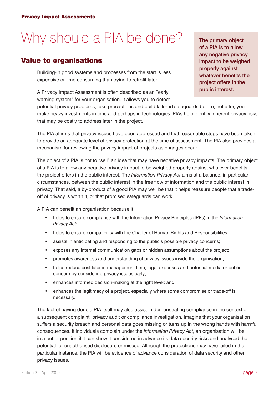# Why should a PIA be done?

#### Value to organisations

Building-in good systems and processes from the start is less expensive or time-consuming than trying to retrofit later.

A Privacy Impact Assessment is often described as an "early warning system" for your organisation. It allows you to detect The primary object of a PIA is to allow any negative privacy impact to be weighed properly against whatever benefits the project offers in the public interest.

potential privacy problems, take precautions and build tailored safeguards before, not after, you make heavy investments in time and perhaps in technologies. PIAs help identify inherent privacy risks that may be costly to address later in the project.

The PIA affirms that privacy issues have been addressed and that reasonable steps have been taken to provide an adequate level of privacy protection at the time of assessment. The PIA also provides a mechanism for reviewing the privacy impact of projects as changes occur.

The object of a PIA is not to "sell" an idea that may have negative privacy impacts. The primary object of a PIA is to allow any negative privacy impact to be weighed properly against whatever benefits the project offers in the public interest. The *Information Privacy Act* aims at a balance, in particular circumstances, between the public interest in the free flow of information and the public interest in privacy. That said, a by-product of a good PIA may well be that it helps reassure people that a tradeoff of privacy is worth it, or that promised safeguards can work.

A PIA can benefit an organisation because it:

- • helps to ensure compliance with the Information Privacy Principles (IPPs) in the *Information Privacy Act*;
- helps to ensure compatibility with the Charter of Human Rights and Responsibilities;
- • assists in anticipating and responding to the public's possible privacy concerns;
- • exposes any internal communication gaps or hidden assumptions about the project;
- promotes awareness and understanding of privacy issues inside the organisation;
- helps reduce cost later in management time, legal expenses and potential media or public concern by considering privacy issues early;
- enhances informed decision-making at the right level; and
- enhances the legitimacy of a project, especially where some compromise or trade-off is necessary.

The fact of having done a PIA itself may also assist in demonstrating compliance in the context of a subsequent complaint, privacy audit or compliance investigation. Imagine that your organisation suffers a security breach and personal data goes missing or turns up in the wrong hands with harmful consequences. If individuals complain under the *Information Privacy Act*, an organisation will be in a better position if it can show it considered in advance its data security risks and analysed the potential for unauthorised disclosure or misuse. Although the protections may have failed in the particular instance, the PIA will be evidence of advance consideration of data security and other privacy issues.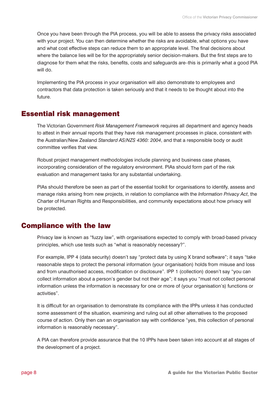Once you have been through the PIA process, you will be able to assess the privacy risks associated with your project. You can then determine whether the risks are avoidable, what options you have and what cost effective steps can reduce them to an appropriate level. The final decisions about where the balance lies will be for the appropriately senior decision-makers. But the first steps are to diagnose for them what the risks, benefits, costs and safeguards are–this is primarily what a good PIA will do.

Implementing the PIA process in your organisation will also demonstrate to employees and contractors that data protection is taken seriously and that it needs to be thought about into the future.

#### Essential risk management

The Victorian Government *Risk Management Framework* requires all department and agency heads to attest in their annual reports that they have risk management processes in place, consistent with the Australian/New Zealand *Standard AS/NZS 4360: 2004*, and that a responsible body or audit committee verifies that view.

Robust project management methodologies include planning and business case phases, incorporating consideration of the regulatory environment. PIAs should form part of the risk evaluation and management tasks for any substantial undertaking.

PIAs should therefore be seen as part of the essential toolkit for organisations to identify, assess and manage risks arising from new projects, in relation to compliance with the *Information Privacy Act*, the Charter of Human Rights and Responsibilities, and community expectations about how privacy will be protected.

#### Compliance with the law

Privacy law is known as "fuzzy law", with organisations expected to comply with broad-based privacy principles, which use tests such as "what is reasonably necessary?".

For example, IPP 4 (data security) doesn't say "protect data by using X brand software"; it says "take reasonable steps to protect the personal information (your organisation) holds from misuse and loss and from unauthorised access, modification or disclosure". IPP 1 (collection) doesn't say "you can collect information about a person's gender but not their age"; it says you "must not collect personal information unless the information is necessary for one or more of (your organisation's) functions or activities".

It is difficult for an organisation to demonstrate its compliance with the IPPs unless it has conducted some assessment of the situation, examining and ruling out all other alternatives to the proposed course of action. Only then can an organisation say with confidence "yes, this collection of personal information is reasonably necessary".

A PIA can therefore provide assurance that the 10 IPPs have been taken into account at all stages of the development of a project.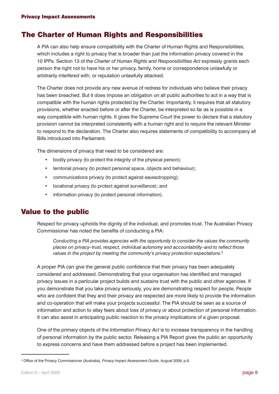#### The Charter of Human Rights and Responsibilities

A PIA can also help ensure compatibility with the Charter of Human Rights and Responsibilities, which includes a right to privacy that is broader than just the information privacy covered in the 10 IPPs. Section 13 of the *Charter of Human Rights and Responsibilities Act* expressly grants each person the right not to have his or her privacy, family, home or correspondence unlawfully or arbitrarily interfered with, or reputation unlawfully attacked.

The Charter does not provide any new avenue of redress for individuals who believe their privacy has been breached. But it does impose an obligation on all public authorities to act in a way that is compatible with the human rights protected by the Charter. Importantly, it requires that all statutory provisions, whether enacted before or after the Charter, be interpreted so far as is possible in a way compatible with human rights. It gives the Supreme Court the power to declare that a statutory provision cannot be interpreted consistently with a human right and to require the relevant Minister to respond to the declaration. The Charter also requires statements of compatibility to accompany all Bills introduced into Parliament.

The dimensions of privacy that need to be considered are:

- bodily privacy (to protect the integrity of the physical person);
- territorial privacy (to protect personal space, objects and behaviour);
- communications privacy (to protect against eavesdropping);
- locational privacy (to protect against surveillance); and
- • information privacy (to protect personal information).

#### Value to the public

Respect for privacy upholds the dignity of the individual, and promotes trust. The Australian Privacy Commissioner has noted the benefits of conducting a PIA:

*Conducting a PIA provides agencies with the opportunity to consider the values the community places on privacy–trust, respect, individual autonomy and accountability–and to reflect those values in the project by meeting the community's privacy protection expectations.*<sup>2</sup>

A proper PIA can give the general public confidence that their privacy has been adequately considered and addressed. Demonstrating that your organisation has identified and managed privacy issues in a particular project builds and sustains trust with the public and other agencies. If you demonstrate that you take privacy seriously, you are demonstrating respect for people. People who are confident that they and their privacy are respected are more likely to provide the information and co-operation that will make your projects successful. The PIA should be seen as a source of information and action to allay fears about loss of privacy or about protection of personal information. It can also assist in anticipating public reaction to the privacy implications of a given proposal.

One of the primary objects of the *Information Privacy Act* is to increase transparency in the handling of personal information by the public sector. Releasing a PIA Report gives the public an opportunity to express concerns and have them addressed before a project has been implemented.

<sup>2</sup> Office of the Privacy Commissioner (Australia), *Privacy Impact Assessment Guide*, August 2006, p.6.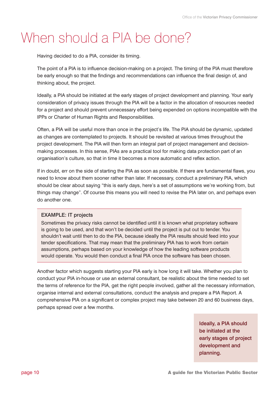# When should a PIA be done?

Having decided to do a PIA, consider its timing.

The point of a PIA is to influence decision-making on a project. The timing of the PIA must therefore be early enough so that the findings and recommendations can influence the final design of, and thinking about, the project.

Ideally, a PIA should be initiated at the early stages of project development and planning. Your early consideration of privacy issues through the PIA will be a factor in the allocation of resources needed for a project and should prevent unnecessary effort being expended on options incompatible with the IPPs or Charter of Human Rights and Responsibilities.

Often, a PIA will be useful more than once in the project's life. The PIA should be dynamic, updated as changes are contemplated to projects. It should be revisited at various times throughout the project development. The PIA will then form an integral part of project management and decisionmaking processes. In this sense, PIAs are a practical tool for making data protection part of an organisation's culture, so that in time it becomes a more automatic and reflex action.

If in doubt, err on the side of starting the PIA as soon as possible. If there are fundamental flaws, you need to know about them sooner rather than later. If necessary, conduct a preliminary PIA, which should be clear about saying "this is early days, here's a set of assumptions we're working from, but things may change". Of course this means you will need to revise the PIA later on, and perhaps even do another one.

#### Example: IT projects

Sometimes the privacy risks cannot be identified until it is known what proprietary software is going to be used, and that won't be decided until the project is put out to tender. You shouldn't wait until then to do the PIA, because ideally the PIA results should feed into your tender specifications. That may mean that the preliminary PIA has to work from certain assumptions, perhaps based on your knowledge of how the leading software products would operate. You would then conduct a final PIA once the software has been chosen.

Another factor which suggests starting your PIA early is how long it will take. Whether you plan to conduct your PIA in-house or use an external consultant, be realistic about the time needed to set the terms of reference for the PIA, get the right people involved, gather all the necessary information, organise internal and external consultations, conduct the analysis and prepare a PIA Report. A comprehensive PIA on a significant or complex project may take between 20 and 60 business days, perhaps spread over a few months.

> Ideally, a PIA should be initiated at the early stages of project development and planning.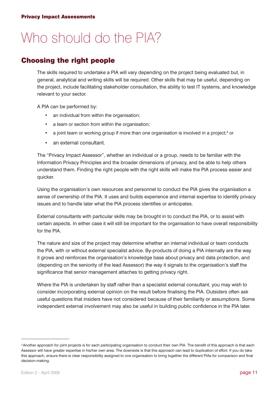# Who should do the PIA?

#### Choosing the right people

The skills required to undertake a PIA will vary depending on the project being evaluated but, in general, analytical and writing skills will be required. Other skills that may be useful, depending on the project, include facilitating stakeholder consultation, the ability to test IT systems, and knowledge relevant to your sector.

A PIA can be performed by:

- an individual from within the organisation;
- a team or section from within the organisation;
- a joint team or working group if more than one organisation is involved in a project;<sup>3</sup> or
- an external consultant.

The "Privacy Impact Assessor", whether an individual or a group, needs to be familiar with the Information Privacy Principles and the broader dimensions of privacy, and be able to help others understand them. Finding the right people with the right skills will make the PIA process easier and quicker.

Using the organisation's own resources and personnel to conduct the PIA gives the organisation a sense of ownership of the PIA. It uses and builds experience and internal expertise to identify privacy issues and to handle later what the PIA process identifies or anticipates.

External consultants with particular skills may be brought in to conduct the PIA, or to assist with certain aspects. In either case it will still be important for the organisation to have overall responsibility for the PIA.

The nature and size of the project may determine whether an internal individual or team conducts the PIA, with or without external specialist advice. By-products of doing a PIA internally are the way it grows and reinforces the organisation's knowledge base about privacy and data protection, and (depending on the seniority of the lead Assessor) the way it signals to the organisation's staff the significance that senior management attaches to getting privacy right.

Where the PIA is undertaken by staff rather than a specialist external consultant, you may wish to consider incorporating external opinion on the result before finalising the PIA. Outsiders often ask useful questions that insiders have not considered because of their familiarity or assumptions. Some independent external involvement may also be useful in building public confidence in the PIA later.

<sup>&</sup>lt;sup>3</sup> Another approach for joint projects is for each participating organisation to conduct their own PIA. The benefit of this approach is that each Assessor will have greater expertise in his/her own area. The downside is that this approach can lead to duplication of effort. If you do take this approach, ensure there is clear responsibility assigned to one organisation to bring together the different PIAs for comparison and final decision-making.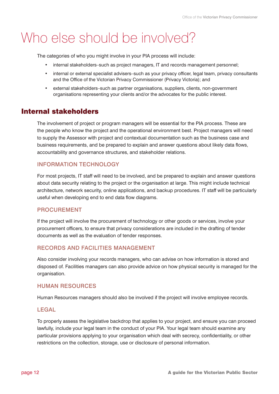### Who else should be involved?

The categories of who you might involve in your PIA process will include:

- internal stakeholders–such as project managers. IT and records management personnel:
- internal or external specialist advisers–such as your privacy officer, legal team, privacy consultants and the Office of the Victorian Privacy Commissioner (Privacy Victoria); and
- • external stakeholders–such as partner organisations, suppliers, clients, non-government organisations representing your clients and/or the advocates for the public interest.

#### Internal stakeholders

The involvement of project or program managers will be essential for the PIA process. These are the people who know the project and the operational environment best. Project managers will need to supply the Assessor with project and contextual documentation such as the business case and business requirements, and be prepared to explain and answer questions about likely data flows, accountability and governance structures, and stakeholder relations.

#### INFORMATION TECHNOLOGY

For most projects, IT staff will need to be involved, and be prepared to explain and answer questions about data security relating to the project or the organisation at large. This might include technical architecture, network security, online applications, and backup procedures. IT staff will be particularly useful when developing end to end data flow diagrams.

#### **PROCUREMENT**

If the project will involve the procurement of technology or other goods or services, involve your procurement officers, to ensure that privacy considerations are included in the drafting of tender documents as well as the evaluation of tender responses.

#### Records and Facilities Management

Also consider involving your records managers, who can advise on how information is stored and disposed of. Facilities managers can also provide advice on how physical security is managed for the organisation.

#### Human Resources

Human Resources managers should also be involved if the project will involve employee records.

#### **LEGAL**

To properly assess the legislative backdrop that applies to your project, and ensure you can proceed lawfully, include your legal team in the conduct of your PIA. Your legal team should examine any particular provisions applying to your organisation which deal with secrecy, confidentiality, or other restrictions on the collection, storage, use or disclosure of personal information.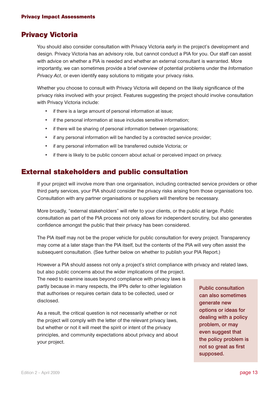#### Privacy Victoria

You should also consider consultation with Privacy Victoria early in the project's development and design. Privacy Victoria has an advisory role, but cannot conduct a PIA for you. Our staff can assist with advice on whether a PIA is needed and whether an external consultant is warranted. More importantly, we can sometimes provide a brief overview of potential problems under the *Information Privacy Act*, or even identify easy solutions to mitigate your privacy risks.

Whether you choose to consult with Privacy Victoria will depend on the likely significance of the privacy risks involved with your project. Features suggesting the project should involve consultation with Privacy Victoria include:

- if there is a large amount of personal information at issue;
- if the personal information at issue includes sensitive information;
- if there will be sharing of personal information between organisations;
- if any personal information will be handled by a contracted service provider:
- • if any personal information will be transferred outside Victoria; or
- if there is likely to be public concern about actual or perceived impact on privacy.

#### External stakeholders and public consultation

If your project will involve more than one organisation, including contracted service providers or other third party services, your PIA should consider the privacy risks arising from those organisations too. Consultation with any partner organisations or suppliers will therefore be necessary.

More broadly, "external stakeholders" will refer to your clients, or the public at large. Public consultation as part of the PIA process not only allows for independent scrutiny, but also generates confidence amongst the public that their privacy has been considered.

The PIA itself may not be the proper vehicle for public consultation for every project. Transparency may come at a later stage than the PIA itself, but the contents of the PIA will very often assist the subsequent consultation. (See further below on whether to publish your PIA Report.)

However a PIA should assess not only a project's strict compliance with privacy and related laws, but also public concerns about the wider implications of the project.

The need to examine issues beyond compliance with privacy laws is partly because in many respects, the IPPs defer to other legislation that authorises or requires certain data to be collected, used or disclosed.

As a result, the critical question is not necessarily whether or not the project will comply with the letter of the relevant privacy laws, but whether or not it will meet the spirit or intent of the privacy principles, and community expectations about privacy and about your project.

Public consultation can also sometimes generate new options or ideas for dealing with a policy problem, or may even suggest that the policy problem is not so great as first supposed.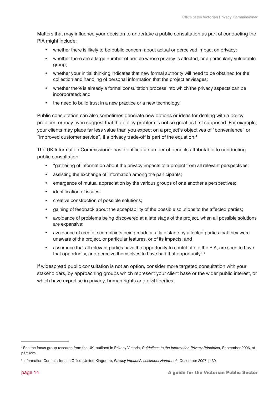Matters that may influence your decision to undertake a public consultation as part of conducting the PIA might include:

- whether there is likely to be public concern about actual or perceived impact on privacy;
- whether there are a large number of people whose privacy is affected, or a particularly vulnerable group;
- • whether your initial thinking indicates that new formal authority will need to be obtained for the collection and handling of personal information that the project envisages;
- whether there is already a formal consultation process into which the privacy aspects can be incorporated; and
- the need to build trust in a new practice or a new technology.

Public consultation can also sometimes generate new options or ideas for dealing with a policy problem, or may even suggest that the policy problem is not so great as first supposed. For example, your clients may place far less value than you expect on a project's objectives of "convenience" or "improved customer service", if a privacy trade-off is part of the equation.4

The UK Information Commissioner has identified a number of benefits attributable to conducting public consultation:

- "gathering of information about the privacy impacts of a project from all relevant perspectives;
- assisting the exchange of information among the participants;
- emergence of mutual appreciation by the various groups of one another's perspectives;
- identification of issues;
- • creative construction of possible solutions;
- gaining of feedback about the acceptability of the possible solutions to the affected parties;
- avoidance of problems being discovered at a late stage of the project, when all possible solutions are expensive;
- avoidance of credible complaints being made at a late stage by affected parties that they were unaware of the project, or particular features, or of its impacts; and
- • assurance that all relevant parties have the opportunity to contribute to the PIA, are seen to have that opportunity, and perceive themselves to have had that opportunity".5

If widespread public consultation is not an option, consider more targeted consultation with your stakeholders, by approaching groups which represent your client base or the wider public interest, or which have expertise in privacy, human rights and civil liberties.

<sup>4</sup> See the focus group research from the UK, outlined in Privacy Victoria, *Guidelines to the Information Privacy Principles*, September 2006, at part 4:25

<sup>5</sup> Information Commissioner's Office (United Kingdom), *Privacy Impact Assessment Handbook*, December 2007, p.39.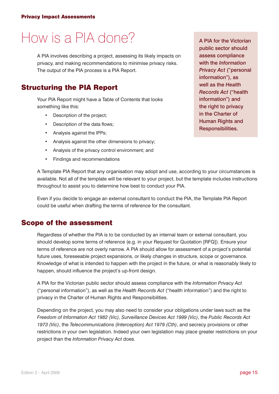### How is a PIA done?

A PIA involves describing a project, assessing its likely impacts on privacy, and making recommendations to minimise privacy risks. The output of the PIA process is a PIA Report.

#### Structuring the PIA Report

Your PIA Report might have a Table of Contents that looks something like this:

- Description of the project;
- Description of the data flows;
- • Analysis against the IPPs;
- • Analysis against the other dimensions to privacy;
- • Analysis of the privacy control environment; and
- • Findings and recommendations

A PIA for the Victorian public sector should assess compliance with the *Information Privacy Act* ("personal information"), as well as the *Health Records Act* ("health information") and the right to privacy in the Charter of Human Rights and Responsibilities.

A Template PIA Report that any organisation may adopt and use, according to your circumstances is available. Not all of the template will be relevant to your project, but the template includes instructions throughout to assist you to determine how best to conduct your PIA.

Even if you decide to engage an external consultant to conduct the PIA, the Template PIA Report could be useful when drafting the terms of reference for the consultant.

#### Scope of the assessment

Regardless of whether the PIA is to be conducted by an internal team or external consultant, you should develop some terms of reference (e.g. in your Request for Quotation [RFQ]). Ensure your terms of reference are not overly narrow. A PIA should allow for assessment of a project's potential future uses, foreseeable project expansions, or likely changes in structure, scope or governance. Knowledge of what is intended to happen with the project in the future, or what is reasonably likely to happen, should influence the project's up-front design.

A PIA for the Victorian public sector should assess compliance with the *Information Privacy Act* ("personal information"), as well as the *Health Records Act* ("health information") and the right to privacy in the Charter of Human Rights and Responsibilities.

Depending on the project, you may also need to consider your obligations under laws such as the *Freedom of Information Act 1982 (Vic)*, *Surveillance Devices Act 1999 (Vic)*, the *Public Records Act 1973 (Vic)*, the *Telecommunications (Interception) Act 1979 (Cth)*, and secrecy provisions or other restrictions in your own legislation. Indeed your own legislation may place greater restrictions on your project than the *Information Privacy Act* does.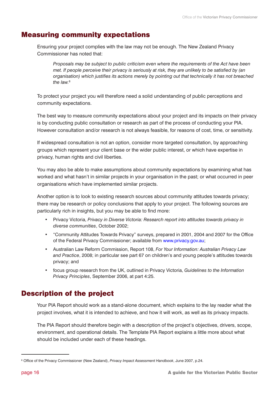#### Measuring community expectations

Ensuring your project complies with the law may not be enough. The New Zealand Privacy Commissioner has noted that:

*Proposals may be subject to public criticism even where the requirements of the Act have been met. If people perceive their privacy is seriously at risk, they are unlikely to be satisfied by (an organisation) which justifies its actions merely by pointing out that technically it has not breached the law.*<sup>6</sup>

To protect your project you will therefore need a solid understanding of public perceptions and community expectations.

The best way to measure community expectations about your project and its impacts on their privacy is by conducting public consultation or research as part of the process of conducting your PIA. However consultation and/or research is not always feasible, for reasons of cost, time, or sensitivity.

If widespread consultation is not an option, consider more targeted consultation, by approaching groups which represent your client base or the wider public interest, or which have expertise in privacy, human rights and civil liberties.

You may also be able to make assumptions about community expectations by examining what has worked and what hasn't in similar projects in your organisation in the past; or what occurred in peer organisations which have implemented similar projects.

Another option is to look to existing research sources about community attitudes towards privacy; there may be research or policy conclusions that apply to your project. The following sources are particularly rich in insights, but you may be able to find more:

- • Privacy Victoria, *Privacy in Diverse Victoria: Research report into attitudes towards privacy in diverse communities*, October 2002;
- • "Community Attitudes Towards Privacy" surveys, prepared in 2001, 2004 and 2007 for the Office of the Federal Privacy Commissioner; available from www.privacy.gov.au;
- • Australian Law Reform Commission, Report 108, *For Your Information: Australian Privacy Law and Practice*, 2008; in particular see part 67 on children's and young people's attitudes towards privacy; and
- • focus group research from the UK, outlined in Privacy Victoria, *Guidelines to the Information Privacy Principles*, September 2006, at part 4:25.

#### Description of the project

Your PIA Report should work as a stand-alone document, which explains to the lay reader what the project involves, what it is intended to achieve, and how it will work, as well as its privacy impacts.

The PIA Report should therefore begin with a description of the project's objectives, drivers, scope, environment, and operational details. The Template PIA Report explains a little more about what should be included under each of these headings.

<sup>6</sup> Office of the Privacy Commissioner (New Zealand), *Privacy Impact Assessment Handbook*, June 2007, p.24.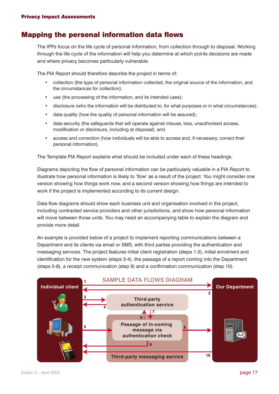#### Mapping the personal information data flows

The IPPs focus on the life cycle of personal information, from collection through to disposal. Working through the life cycle of the information will help you determine at which points decisions are made and where privacy becomes particularly vulnerable.

The PIA Report should therefore describe the project in terms of:

- collection (the type of personal information collected, the original source of the information, and the circumstances for collection);
- use (the processing of the information, and its intended uses);
- disclosure (who the information will be distributed to, for what purposes or in what circumstances);
- data quality (how the quality of personal information will be assured);
- data security (the safeguards that will operate against misuse, loss, unauthorised access, modification or disclosure, including at disposal); and
- • access and correction (how individuals will be able to access and, if necessary, correct their personal information).

The Template PIA Report explains what should be included under each of these headings.

Diagrams depicting the flow of personal information can be particularly valuable in a PIA Report to illustrate how personal information is likely to 'flow' as a result of the project. You might consider one version showing how things work now, and a second version showing how things are intended to work if the project is implemented according to its current design.

Data flow diagrams should show each business unit and organisation involved in the project, including contracted service providers and other jurisdictions, and show how personal information will move between those units. You may need an accompanying table to explain the diagram and provide more detail.

An example is provided below of a project to implement reporting communications between a Department and its clients via email or SMS, with third parties providing the authentication and messaging services. The project features initial client registration (steps 1-2), initial enrolment and identification for the new system (steps 3-4), the passage of a report coming into the Department (steps 5-8), a receipt communication (step 9) and a confirmation communication (step 10).

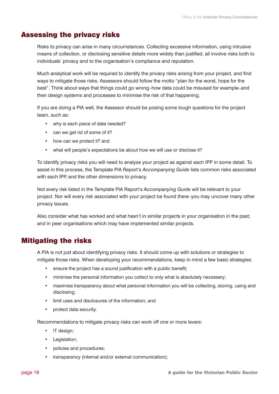#### Assessing the privacy risks

Risks to privacy can arise in many circumstances. Collecting excessive information, using intrusive means of collection, or disclosing sensitive details more widely than justified, all involve risks both to individuals' privacy and to the organisation's compliance and reputation.

Much analytical work will be required to identify the privacy risks arising from your project, and find ways to mitigate those risks. Assessors should follow the motto "plan for the worst, hope for the best". Think about ways that things could go wrong–how data could be misused for example–and then design systems and processes to minimise the risk of that happening.

If you are doing a PIA well, the Assessor should be posing some tough questions for the project team, such as:

- why is each piece of data needed?
- can we get rid of some of it?
- how can we protect it? and
- what will people's expectations be about how we will use or disclose it?

To identify privacy risks you will need to analyse your project as against each IPP in some detail. To assist in this process, the Template PIA Report's *Accompanying Guide* lists common risks associated with each IPP, and the other dimensions to privacy.

Not every risk listed in the Template PIA Report's *Accompanying Guide* will be relevant to your project. Nor will every risk associated with your project be found there–you may uncover many other privacy issues.

Also consider what has worked and what hasn't in similar projects in your organisation in the past; and in peer organisations which may have implemented similar projects.

#### Mitigating the risks

A PIA is not just about identifying privacy risks. It should come up with solutions or strategies to mitigate those risks. When developing your recommendations, keep in mind a few basic strategies:

- ensure the project has a sound justification with a public benefit;
- minimise the personal information you collect to only what is absolutely necessary;
- maximise transparency about what personal information you will be collecting, storing, using and disclosing;
- • limit uses and disclosures of the information; and
- protect data security.

Recommendations to mitigate privacy risks can work off one or more levers:

- IT design:
- Legislation;
- • policies and procedures;
- transparency (internal and/or external communication);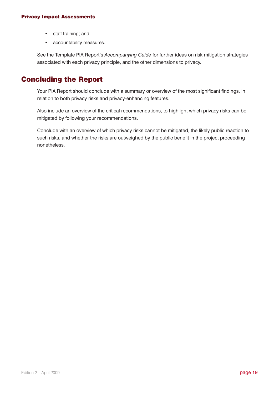- • staff training; and
- • accountability measures.

See the Template PIA Report's *Accompanying Guide* for further ideas on risk mitigation strategies associated with each privacy principle, and the other dimensions to privacy.

#### Concluding the Report

Your PIA Report should conclude with a summary or overview of the most significant findings, in relation to both privacy risks and privacy-enhancing features.

Also include an overview of the critical recommendations, to highlight which privacy risks can be mitigated by following your recommendations.

Conclude with an overview of which privacy risks cannot be mitigated, the likely public reaction to such risks, and whether the risks are outweighed by the public benefit in the project proceeding nonetheless.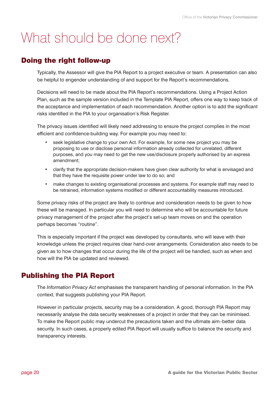# What should be done next?

#### Doing the right follow-up

Typically, the Assessor will give the PIA Report to a project executive or team. A presentation can also be helpful to engender understanding of and support for the Report's recommendations.

Decisions will need to be made about the PIA Report's recommendations. Using a Project Action Plan, such as the sample version included in the Template PIA Report, offers one way to keep track of the acceptance and implementation of each recommendation. Another option is to add the significant risks identified in the PIA to your organisation's Risk Register.

The privacy issues identified will likely need addressing to ensure the project complies in the most efficient and confidence-building way. For example you may need to:

- seek legislative change to your own Act. For example, for some new project you may be proposing to use or disclose personal information already collected for unrelated, different purposes, and you may need to get the new use/disclosure properly authorised by an express amendment;
- clarify that the appropriate decision-makers have given clear authority for what is envisaged and that they have the requisite power under law to do so; and
- make changes to existing organisational processes and systems. For example staff may need to be retrained, information systems modified or different accountability measures introduced.

Some privacy risks of the project are likely to continue and consideration needs to be given to how these will be managed. In particular you will need to determine who will be accountable for future privacy management of the project after the project's set-up team moves on and the operation perhaps becomes "routine".

This is especially important if the project was developed by consultants, who will leave with their knowledge unless the project requires clear hand-over arrangements. Consideration also needs to be given as to how changes that occur during the life of the project will be handled, such as when and how will the PIA be updated and reviewed.

#### Publishing the PIA Report

The *Information Privacy Act* emphasises the transparent handling of personal information. In the PIA context, that suggests publishing your PIA Report.

However in particular projects, security may be a consideration. A good, thorough PIA Report may necessarily analyse the data security weaknesses of a project in order that they can be minimised. To make the Report public may undercut the precautions taken and the ultimate aim–better data security. In such cases, a properly edited PIA Report will usually suffice to balance the security and transparency interests.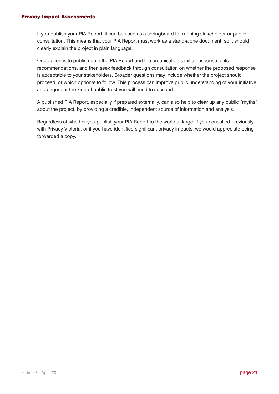#### Privacy Impact Assessments

If you publish your PIA Report, it can be used as a springboard for running stakeholder or public consultation. This means that your PIA Report must work as a stand-alone document, so it should clearly explain the project in plain language.

One option is to publish both the PIA Report and the organisation's initial response to its recommendations, and then seek feedback through consultation on whether the proposed response is acceptable to your stakeholders. Broader questions may include whether the project should proceed, or which option/s to follow. This process can improve public understanding of your initiative, and engender the kind of public trust you will need to succeed.

A published PIA Report, especially if prepared externally, can also help to clear up any public "myths" about the project, by providing a credible, independent source of information and analysis.

Regardless of whether you publish your PIA Report to the world at large, if you consulted previously with Privacy Victoria, or if you have identified significant privacy impacts, we would appreciate being forwarded a copy.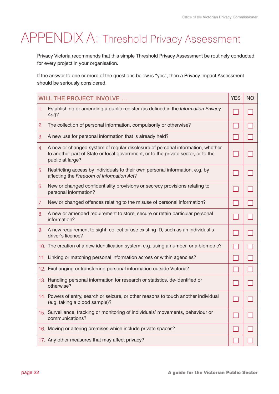# APPENDIX A: Threshold Privacy Assessment

Privacy Victoria recommends that this simple Threshold Privacy Assessment be routinely conducted for every project in your organisation.

If the answer to one or more of the questions below is "yes", then a Privacy Impact Assessment should be seriously considered.

|    | <b>WILL THE PROJECT INVOLVE </b>                                                                                                                                                        | <b>YES</b> | <b>NO</b> |
|----|-----------------------------------------------------------------------------------------------------------------------------------------------------------------------------------------|------------|-----------|
| 1. | Establishing or amending a public register (as defined in the Information Privacy<br>$Act$ ?                                                                                            |            |           |
| 2. | The collection of personal information, compulsorily or otherwise?                                                                                                                      |            |           |
| З. | A new use for personal information that is already held?                                                                                                                                |            |           |
| 4. | A new or changed system of regular disclosure of personal information, whether<br>to another part of State or local government, or to the private sector, or to the<br>public at large? |            |           |
| 5. | Restricting access by individuals to their own personal information, e.g. by<br>affecting the Freedom of Information Act?                                                               |            |           |
| 6. | New or changed confidentiality provisions or secrecy provisions relating to<br>personal information?                                                                                    |            |           |
| 7. | New or changed offences relating to the misuse of personal information?                                                                                                                 |            |           |
| 8. | A new or amended requirement to store, secure or retain particular personal<br>information?                                                                                             |            |           |
| 9. | A new requirement to sight, collect or use existing ID, such as an individual's<br>driver's licence?                                                                                    |            |           |
|    | 10. The creation of a new identification system, e.g. using a number, or a biometric?                                                                                                   |            |           |
|    | 11. Linking or matching personal information across or within agencies?                                                                                                                 |            |           |
|    | 12. Exchanging or transferring personal information outside Victoria?                                                                                                                   |            |           |
|    | 13. Handling personal information for research or statistics, de-identified or<br>otherwise?                                                                                            |            |           |
|    | 14. Powers of entry, search or seizure, or other reasons to touch another individual<br>(e.g. taking a blood sample)?                                                                   |            |           |
|    | 15. Surveillance, tracking or monitoring of individuals' movements, behaviour or<br>communications?                                                                                     |            |           |
|    | 16. Moving or altering premises which include private spaces?                                                                                                                           |            |           |
|    | 17. Any other measures that may affect privacy?                                                                                                                                         |            |           |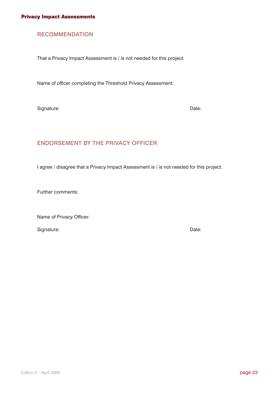#### **RECOMMENDATION**

That a Privacy Impact Assessment is / is not needed for this project.

Name of officer completing the Threshold Privacy Assessment:

Signature: Date: Date: Date: Date: Date: Date: Date: Date: Date: Date: Date: Date: Date: Date: Date: Date: Date: Date: Date: Date: Date: Date: Date: Date: Date: Date: Date: Date: Date: Date: Date: Date: Date: Date: Date: D

#### Endorsement by the Privacy Officer

I agree / disagree that a Privacy Impact Assessment is / is not needed for this project.

Further comments:

Name of Privacy Officer:

Signature: Date: Date: Date: Date: Date: Date: Date: Date: Date: Date: Date: Date: Date: Date: Date: Date: Date: Date: Date: Date: Date: Date: Date: Date: Date: Date: Date: Date: Date: Date: Date: Date: Date: Date: Date: D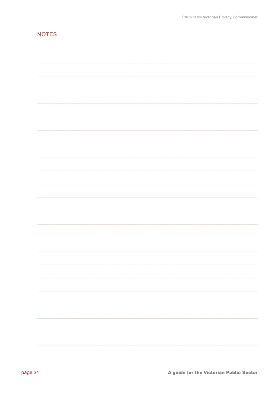#### **NOTES**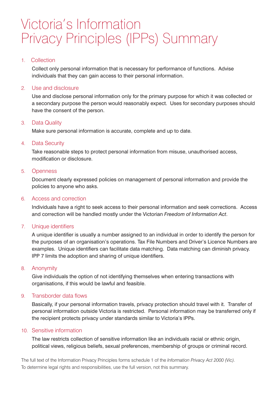### Victoria's Information Privacy Principles (IPPs) Summary

#### 1. Collection

Collect only personal information that is necessary for performance of functions. Advise individuals that they can gain access to their personal information.

#### 2. Use and disclosure

Use and disclose personal information only for the primary purpose for which it was collected or a secondary purpose the person would reasonably expect. Uses for secondary purposes should have the consent of the person.

#### 3. Data Quality

Make sure personal information is accurate, complete and up to date.

#### 4. Data Security

Take reasonable steps to protect personal information from misuse, unauthorised access, modification or disclosure.

#### 5. Openness

Document clearly expressed policies on management of personal information and provide the policies to anyone who asks.

#### 6. Access and correction

Individuals have a right to seek access to their personal information and seek corrections. Access and correction will be handled mostly under the Victorian *Freedom of Information Act*.

#### 7. Unique identifiers

A unique identifier is usually a number assigned to an individual in order to identify the person for the purposes of an organisation's operations. Tax File Numbers and Driver's Licence Numbers are examples. Unique identifiers can facilitate data matching. Data matching can diminish privacy. IPP 7 limits the adoption and sharing of unique identifiers.

#### 8. Anonymity

Give individuals the option of not identifying themselves when entering transactions with organisations, if this would be lawful and feasible.

#### 9. Transborder data flows

Basically, if your personal information travels, privacy protection should travel with it. Transfer of personal information outside Victoria is restricted. Personal information may be transferred only if the recipient protects privacy under standards similar to Victoria's IPPs.

#### 10. Sensitive information

The law restricts collection of sensitive information like an individuals racial or ethnic origin, political views, religious beliefs, sexual preferences, membership of groups or criminal record.

The full text of the Information Privacy Principles forms schedule 1 of the *Information Privacy Act 2000 (Vic).* To determine legal rights and responsibilities, use the full version, not this summary.